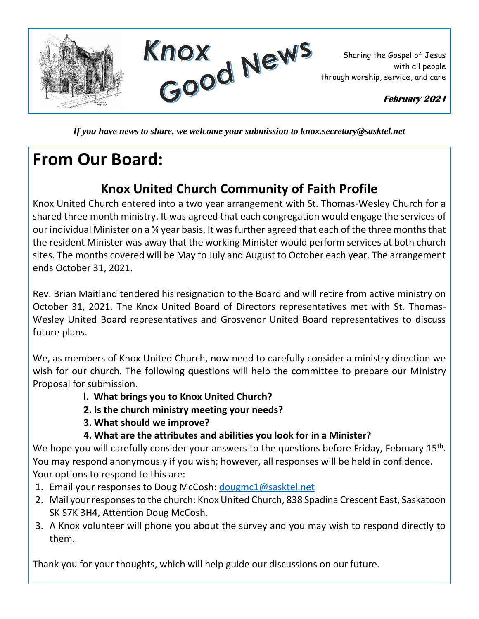

*If you have news to share, we welcome your submission to knox.secretary@sasktel.net*

## **From Our Board:**

### **Knox United Church Community of Faith Profile**

Knox United Church entered into a two year arrangement with St. Thomas-Wesley Church for a shared three month ministry. It was agreed that each congregation would engage the services of our individual Minister on a ¾ year basis. It was further agreed that each of the three months that the resident Minister was away that the working Minister would perform services at both church sites. The months covered will be May to July and August to October each year. The arrangement ends October 31, 2021.

Rev. Brian Maitland tendered his resignation to the Board and will retire from active ministry on October 31, 2021. The Knox United Board of Directors representatives met with St. Thomas-Wesley United Board representatives and Grosvenor United Board representatives to discuss future plans.

We, as members of Knox United Church, now need to carefully consider a ministry direction we wish for our church. The following questions will help the committee to prepare our Ministry Proposal for submission.

- **l. What brings you to Knox United Church?**
- **2. Is the church ministry meeting your needs?**
- **3. What should we improve?**
- **4. What are the attributes and abilities you look for in a Minister?**

We hope you will carefully consider your answers to the questions before Friday, February 15<sup>th</sup>. You may respond anonymously if you wish; however, all responses will be held in confidence. Your options to respond to this are:

- 1. Email your responses to Doug McCosh: [dougmc1@sasktel.net](mailto:dougmc1@sasktel.net)
- 2. Mail your responses to the church: Knox United Church, 838 Spadina Crescent East, Saskatoon SK S7K 3H4, Attention Doug McCosh.
- 3. A Knox volunteer will phone you about the survey and you may wish to respond directly to them.

Thank you for your thoughts, which will help guide our discussions on our future.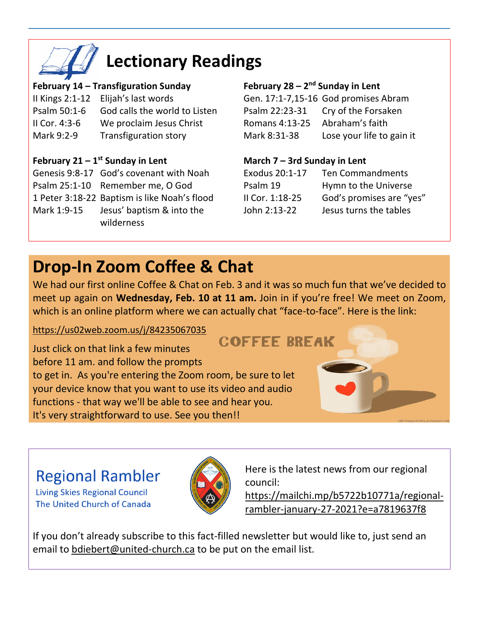

# **Lectionary Readings**

#### **February 14 – Transfiguration Sunday**

|                 | Il Kings 2:1-12 Elijah's last words |
|-----------------|-------------------------------------|
| Psalm 50:1-6    | God calls the world to Listen       |
| II Cor. $4:3-6$ | We proclaim Jesus Christ            |
| Mark 9:2-9      | <b>Transfiguration story</b>        |

### **February 21 – 1 st Sunday in Lent**

- Genesis 9:8-17 God's covenant with Noah
- Psalm 25:1-10 Remember me, O God
- 1 Peter 3:18-22 Baptism is like Noah's flood
- Mark 1:9-15 Jesus' baptism & into the wilderness

#### **February 28 – 2<sup>nd</sup> Sunday in Lent**

Gen. 17:1-7,15-16 God promises Abram Psalm 22:23-31 Cry of the Forsaken Romans 4:13-25 Abraham's faith Mark 8:31-38 Lose your life to gain it

### **March 7 – 3rd Sunday in Lent**

| Exodus 20:1-17  | <b>Ten Commandments</b>  |
|-----------------|--------------------------|
| Psalm 19        | Hymn to the Universe     |
| II Cor. 1:18-25 | God's promises are "yes" |
| John 2:13-22    | Jesus turns the tables   |

## **Drop-In Zoom Coffee & Chat**

We had our first online Coffee & Chat on Feb. 3 and it was so much fun that we've decided to meet up again on **Wednesday, Feb. 10 at 11 am.** Join in if you're free! We meet on Zoom, which is an online platform where we can actually chat "face-to-face". Here is the link:

### <https://us02web.zoom.us/j/84235067035>

Just click on that link a few minutes before 11 am. and follow the prompts to get in. As you're entering the Zoom room, be sure to let your device know that you want to use its video and audio functions - that way we'll be able to see and hear you. It's very straightforward to use. See you then!!

### **COFFEE BREAK**



### **Regional Rambler**

**Living Skies Regional Council** The United Church of Canada



Here is the latest news from our regional council:

[https://mailchi.mp/b5722b10771a/regional](https://mailchi.mp/b5722b10771a/regional-rambler-january-27-2021?e=a7819637f8)[rambler-january-27-2021?e=a7819637f8](https://mailchi.mp/b5722b10771a/regional-rambler-january-27-2021?e=a7819637f8)

If you don't already subscribe to this fact-filled newsletter but would like to, just send an email to [bdiebert@united-church.ca](mailto:bdiebert@united-church.ca) to be put on the email list.